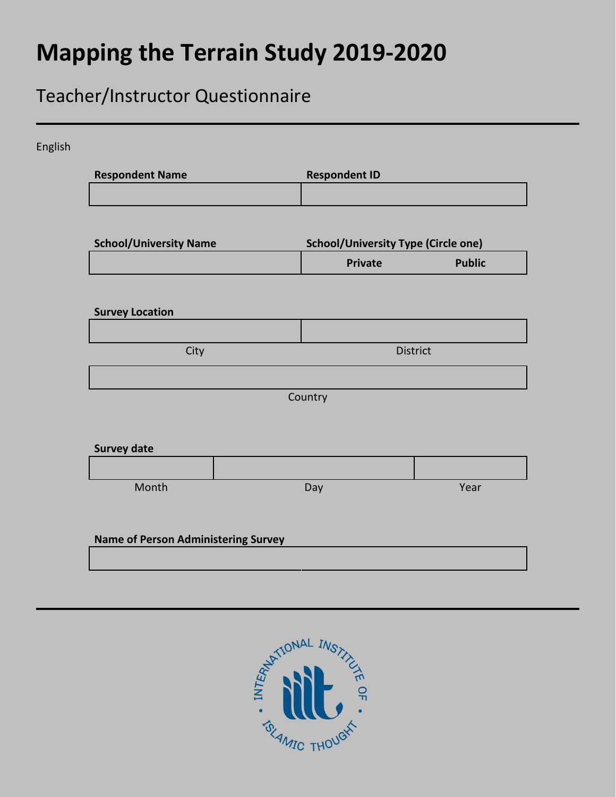# **Mapping the Terrain Study 2019-2020**

# Teacher/Instructor Questionnaire

| <b>Respondent Name</b>                     | <b>Respondent ID</b>                       |                 |  |  |
|--------------------------------------------|--------------------------------------------|-----------------|--|--|
|                                            |                                            |                 |  |  |
| <b>School/University Name</b>              | <b>School/University Type (Circle one)</b> |                 |  |  |
|                                            | <b>Private</b>                             | <b>Public</b>   |  |  |
|                                            |                                            |                 |  |  |
| <b>Survey Location</b>                     |                                            |                 |  |  |
| City                                       |                                            | <b>District</b> |  |  |
|                                            |                                            |                 |  |  |
|                                            | Country                                    |                 |  |  |
|                                            |                                            |                 |  |  |
| <b>Survey date</b>                         |                                            |                 |  |  |
|                                            |                                            |                 |  |  |
| Month                                      | Day                                        | Year            |  |  |
|                                            |                                            |                 |  |  |
| <b>Name of Person Administering Survey</b> |                                            |                 |  |  |

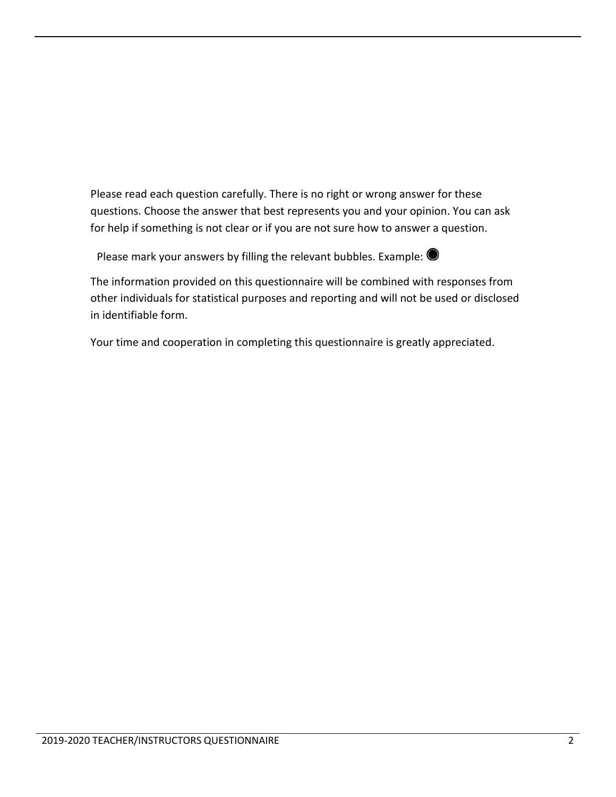Please read each question carefully. There is no right or wrong answer for these questions. Choose the answer that best represents you and your opinion. You can ask for help if something is not clear or if you are not sure how to answer a question.

Please mark your answers by filling the relevant bubbles. Example:  $\bullet$ 



The information provided on this questionnaire will be combined with responses from other individuals for statistical purposes and reporting and will not be used or disclosed in identifiable form.

Your time and cooperation in completing this questionnaire is greatly appreciated.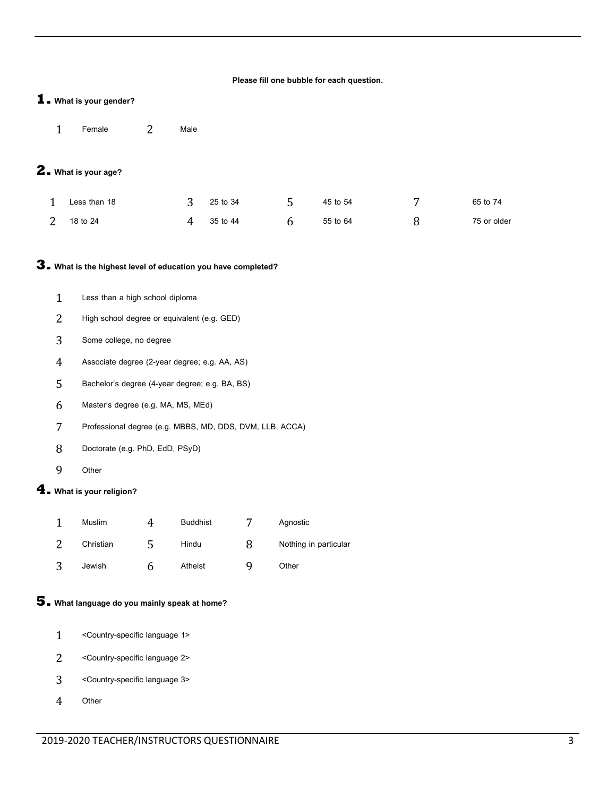#### **Please fill one bubble for each question.**

#### **1. What is your gender?**

Female 2 Male

#### **2. What is your age?**

| Less than 18 |   | $3^{25}$ to 34 | 45 to 54 | 65 to 74    |
|--------------|---|----------------|----------|-------------|
| 2 18 to 24   | 4 | 35 to 44       | 55 to 64 | 75 or older |

#### **3. What is the highest level of education you have completed?**

- Less than a high school diploma
- High school degree or equivalent (e.g. GED)
- Some college, no degree
- Associate degree (2-year degree; e.g. AA, AS)
- Bachelor's degree (4-year degree; e.g. BA, BS)
- Master's degree (e.g. MA, MS, MEd)
- Professional degree (e.g. MBBS, MD, DDS, DVM, LLB, ACCA)
- Doctorate (e.g. PhD, EdD, PSyD)
- Other

#### **4. What is your religion?**

| Muslim    | 4 | <b>Buddhist</b> |   | Agnostic              |
|-----------|---|-----------------|---|-----------------------|
| Christian |   | Hindu           | x | Nothing in particular |
| Jewish    | n | Atheist         | ч | Other                 |

#### **5. What language do you mainly speak at home?**

- <Country-specific language 1>
- <Country-specific language 2>
- <Country-specific language 3>
- Other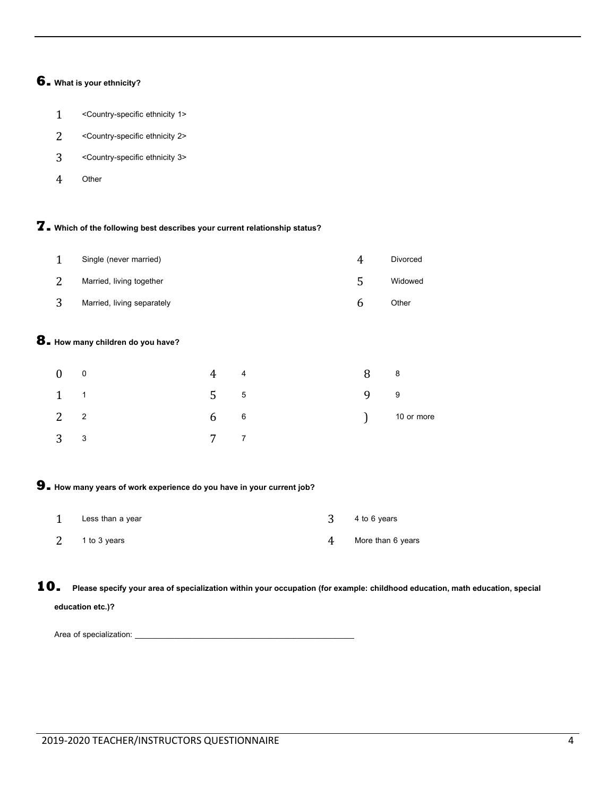#### **6. What is your ethnicity?**

- <Country-specific ethnicity 1>
- <Country-specific ethnicity 2>
- <Country-specific ethnicity 3>
- Other

#### **7. Which of the following best describes your current relationship status?**

| Single (never married)     | 4 | Divorced |
|----------------------------|---|----------|
| Married, living together   | ∽ | Widowed  |
| Married, living separately | n | Other    |

#### **8. How many children do you have?**

| $0$ 0       | $4\quad 4$       | 8 8 |                   |
|-------------|------------------|-----|-------------------|
| $1 \quad 1$ | 555              | 9 9 |                   |
| $2^2$       | $6\qquad 6$      |     | $\int$ 10 or more |
| $3^3$       | $7 \overline{7}$ |     |                   |

#### **9. How many years of work experience do you have in your current job?**

| Less than a year |   | 4 to 6 years      |
|------------------|---|-------------------|
| 1 to 3 years     | 4 | More than 6 years |

**10. Please specify your area of specialization within your occupation (for example: childhood education, math education, special education etc.)?**

Area of specialization: \_\_\_\_\_\_\_\_\_\_\_\_\_\_\_\_\_\_\_\_\_\_\_\_\_\_\_\_\_\_\_\_\_\_\_\_\_\_\_\_\_\_\_\_\_\_\_\_\_\_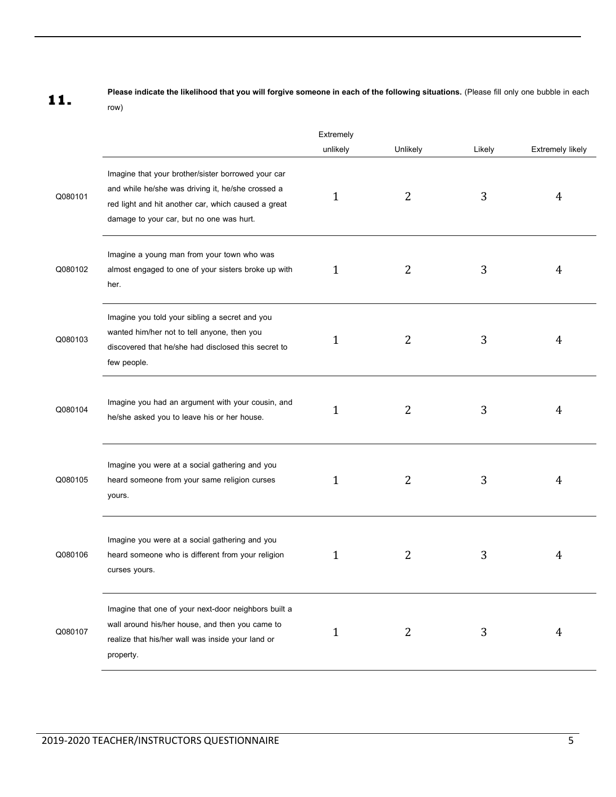**11.** Please indicate the likelihood that you will forgive someone in each of the following situations. (Please fill only one bubble in each **11.** row)

|         |                                                                                                                                                                                                            | Extremely    |          |        |                         |
|---------|------------------------------------------------------------------------------------------------------------------------------------------------------------------------------------------------------------|--------------|----------|--------|-------------------------|
|         |                                                                                                                                                                                                            | unlikely     | Unlikely | Likely | <b>Extremely likely</b> |
| Q080101 | Imagine that your brother/sister borrowed your car<br>and while he/she was driving it, he/she crossed a<br>red light and hit another car, which caused a great<br>damage to your car, but no one was hurt. | 1            | 2        | 3      | 4                       |
| Q080102 | Imagine a young man from your town who was<br>almost engaged to one of your sisters broke up with<br>her.                                                                                                  | $\mathbf{1}$ | 2        | 3      | 4                       |
| Q080103 | Imagine you told your sibling a secret and you<br>wanted him/her not to tell anyone, then you<br>discovered that he/she had disclosed this secret to<br>few people.                                        | 1            | 2        | 3      | 4                       |
| Q080104 | Imagine you had an argument with your cousin, and<br>he/she asked you to leave his or her house.                                                                                                           | $\mathbf{1}$ | 2        | 3      | 4                       |
| Q080105 | Imagine you were at a social gathering and you<br>heard someone from your same religion curses<br>yours.                                                                                                   | 1            | 2        | 3      | 4                       |
| Q080106 | Imagine you were at a social gathering and you<br>heard someone who is different from your religion<br>curses yours.                                                                                       | 1            | 2        | 3      | 4                       |
| Q080107 | Imagine that one of your next-door neighbors built a<br>wall around his/her house, and then you came to<br>realize that his/her wall was inside your land or<br>property.                                  | $\mathbf{1}$ | 2        | 3      | 4                       |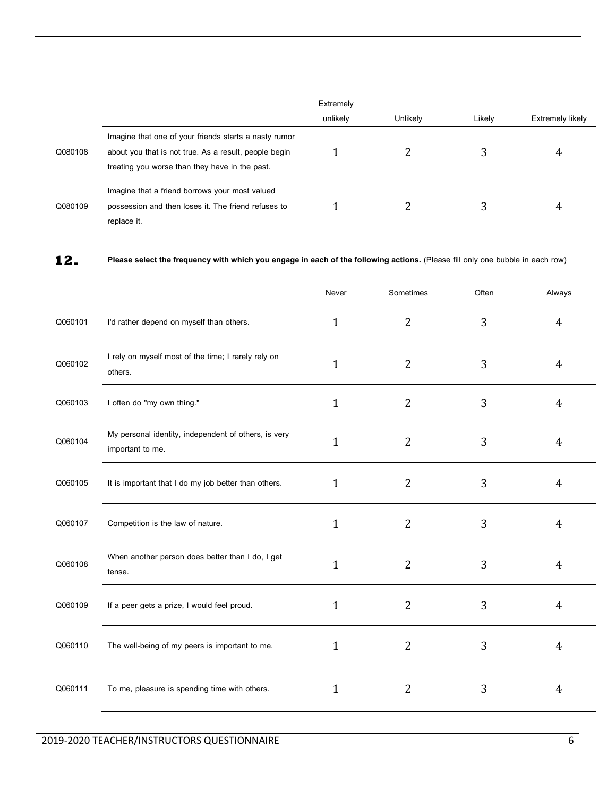|         |                                                                                                                                                                  | Extremely |          |        |                  |
|---------|------------------------------------------------------------------------------------------------------------------------------------------------------------------|-----------|----------|--------|------------------|
|         |                                                                                                                                                                  | unlikely  | Unlikely | Likely | Extremely likely |
| Q080108 | Imagine that one of your friends starts a nasty rumor<br>about you that is not true. As a result, people begin<br>treating you worse than they have in the past. |           |          |        | 4                |
| Q080109 | Imagine that a friend borrows your most valued<br>possession and then loses it. The friend refuses to<br>replace it.                                             |           |          |        | 4                |

**<sup>12.</sup> Please select the frequency with which you engage in each of the following actions.** (Please fill only one bubble in each row)

|         |                                                                          | Never        | Sometimes      | Often | Always         |
|---------|--------------------------------------------------------------------------|--------------|----------------|-------|----------------|
| Q060101 | I'd rather depend on myself than others.                                 | $\mathbf{1}$ | $\overline{2}$ | 3     | $\overline{4}$ |
| Q060102 | I rely on myself most of the time; I rarely rely on<br>others.           | $\mathbf{1}$ | 2              | 3     | 4              |
| Q060103 | I often do "my own thing."                                               | $\mathbf{1}$ | $\overline{2}$ | 3     | $\overline{4}$ |
| Q060104 | My personal identity, independent of others, is very<br>important to me. | $\mathbf{1}$ | 2              | 3     | 4              |
| Q060105 | It is important that I do my job better than others.                     | 1            | $\overline{2}$ | 3     | $\overline{4}$ |
| Q060107 | Competition is the law of nature.                                        | 1            | 2              | 3     | 4              |
| Q060108 | When another person does better than I do, I get<br>tense.               | $\mathbf{1}$ | 2              | 3     | 4              |
| Q060109 | If a peer gets a prize, I would feel proud.                              | 1            | 2              | 3     | 4              |
| Q060110 | The well-being of my peers is important to me.                           | 1            | 2              | 3     | 4              |
| Q060111 | To me, pleasure is spending time with others.                            | 1            | 2              | 3     | $\overline{4}$ |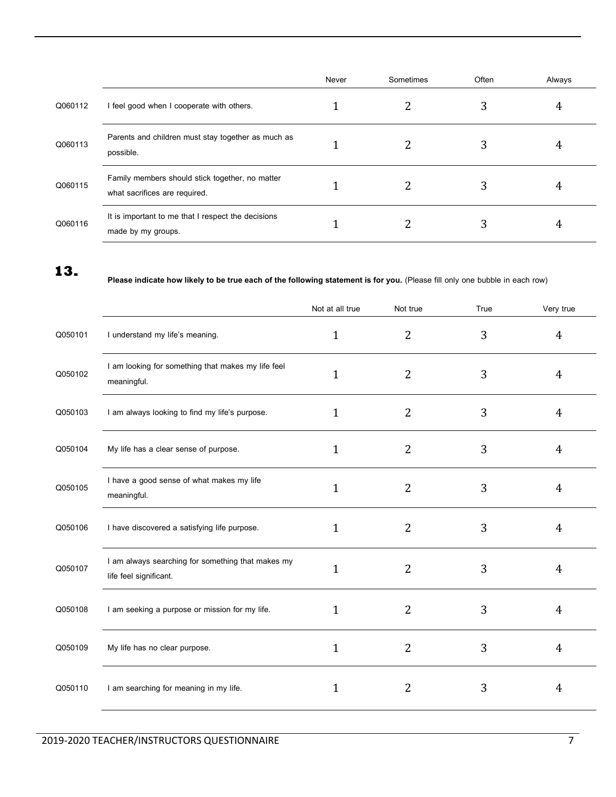|         |                                                                                  | Never | Sometimes | Often | Always |
|---------|----------------------------------------------------------------------------------|-------|-----------|-------|--------|
| Q060112 | I feel good when I cooperate with others.                                        |       |           | 3     | 4      |
| Q060113 | Parents and children must stay together as much as<br>possible.                  |       |           | 3     | 4      |
| Q060115 | Family members should stick together, no matter<br>what sacrifices are required. |       |           |       | 4      |
| Q060116 | It is important to me that I respect the decisions<br>made by my groups.         |       |           | 3     |        |

### **13.**

#### **Please indicate how likely to be true each of the following statement is for you.** (Please fill only one bubble in each row)

|         |                                                                             | Not at all true | Not true       | True | Very true      |
|---------|-----------------------------------------------------------------------------|-----------------|----------------|------|----------------|
| Q050101 | I understand my life's meaning.                                             | $\mathbf{1}$    | $\overline{2}$ | 3    | 4              |
| Q050102 | I am looking for something that makes my life feel<br>meaningful.           | 1               | 2              | 3    | 4              |
| Q050103 | I am always looking to find my life's purpose.                              | 1               | 2              | 3    | $\overline{4}$ |
| Q050104 | My life has a clear sense of purpose.                                       | $\mathbf{1}$    | 2              | 3    | 4              |
| Q050105 | I have a good sense of what makes my life<br>meaningful.                    | $\mathbf{1}$    | 2              | 3    | $\overline{4}$ |
| Q050106 | I have discovered a satisfying life purpose.                                | 1               | 2              | 3    | $\overline{4}$ |
| Q050107 | I am always searching for something that makes my<br>life feel significant. | $\mathbf{1}$    | $\overline{2}$ | 3    | 4              |
| Q050108 | I am seeking a purpose or mission for my life.                              | 1               | $\overline{2}$ | 3    | $\overline{4}$ |
| Q050109 | My life has no clear purpose.                                               | $\mathbf 1$     | 2              | 3    | $\overline{4}$ |
| Q050110 | I am searching for meaning in my life.                                      | 1               | 2              | 3    | 4              |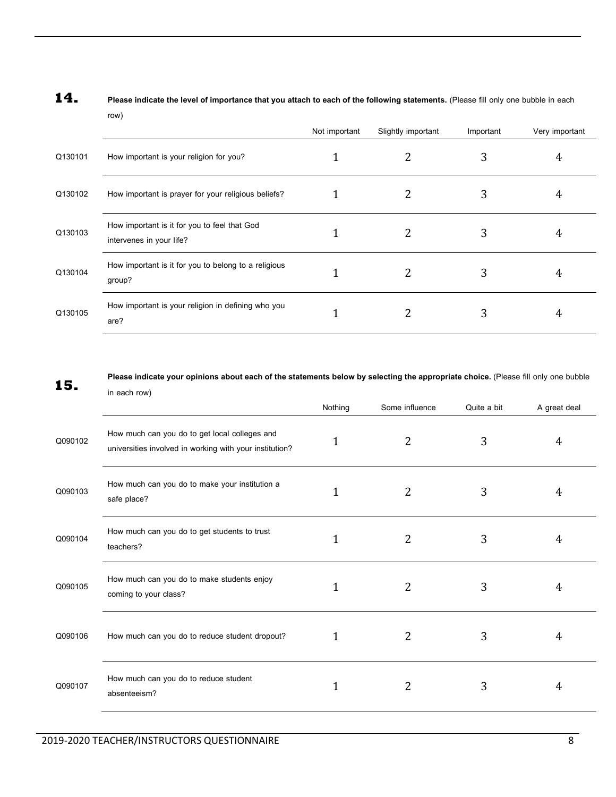|         |                                                                          | Not important | Slightly important | Important | Very important |
|---------|--------------------------------------------------------------------------|---------------|--------------------|-----------|----------------|
| Q130101 | How important is your religion for you?                                  |               |                    | 3         | 4              |
| Q130102 | How important is prayer for your religious beliefs?                      |               | 2                  | 3         | 4              |
| Q130103 | How important is it for you to feel that God<br>intervenes in your life? |               | 2                  | 3         | 4              |
| Q130104 | How important is it for you to belong to a religious<br>group?           |               | 2                  | 3         | 4              |
| Q130105 | How important is your religion in defining who you<br>are?               |               | 2                  | 3         | 4              |

## **14. Please indicate the level of importance that you attach to each of the following statements.** (Please fill only one bubble in each row)

**15.** Please indicate your opinions about each of the statements below by selecting the appropriate choice. (Please fill only one bubble **15.** in each row)

|         | $\mathbf{u}$ each row)                                                                                   | Nothing      | Some influence | Quite a bit | A great deal |
|---------|----------------------------------------------------------------------------------------------------------|--------------|----------------|-------------|--------------|
| Q090102 | How much can you do to get local colleges and<br>universities involved in working with your institution? | 1            | 2              | 3           | 4            |
| Q090103 | How much can you do to make your institution a<br>safe place?                                            |              | $\overline{2}$ | 3           | 4            |
| Q090104 | How much can you do to get students to trust<br>teachers?                                                | 1            | $\overline{2}$ | 3           | 4            |
| Q090105 | How much can you do to make students enjoy<br>coming to your class?                                      | 1            | $\overline{2}$ | 3           | 4            |
| Q090106 | How much can you do to reduce student dropout?                                                           | 1            | 2              | 3           | 4            |
| Q090107 | How much can you do to reduce student<br>absenteeism?                                                    | $\mathbf{1}$ | $\overline{2}$ | 3           | 4            |
|         |                                                                                                          |              |                |             |              |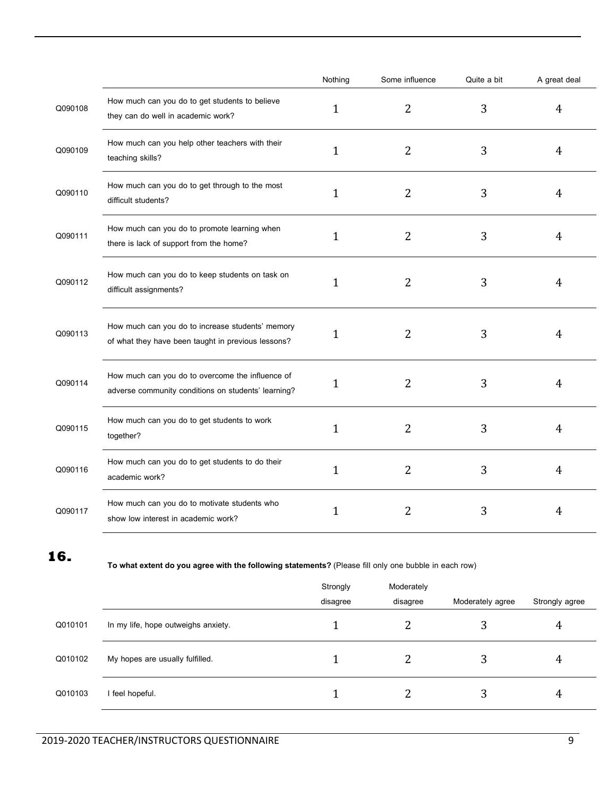|         |                                                                                                         | Nothing      | Some influence | Quite a bit | A great deal   |
|---------|---------------------------------------------------------------------------------------------------------|--------------|----------------|-------------|----------------|
| Q090108 | How much can you do to get students to believe<br>they can do well in academic work?                    | $\mathbf{1}$ | $\overline{2}$ | 3           | $\overline{4}$ |
| Q090109 | How much can you help other teachers with their<br>teaching skills?                                     | $\mathbf 1$  | $\overline{2}$ | 3           | $\overline{4}$ |
| Q090110 | How much can you do to get through to the most<br>difficult students?                                   | $\mathbf 1$  | $\overline{2}$ | 3           | 4              |
| Q090111 | How much can you do to promote learning when<br>there is lack of support from the home?                 | $\mathbf{1}$ | $\overline{2}$ | 3           | $\overline{4}$ |
| Q090112 | How much can you do to keep students on task on<br>difficult assignments?                               | 1            | $\overline{2}$ | 3           | 4              |
| Q090113 | How much can you do to increase students' memory<br>of what they have been taught in previous lessons?  | $\mathbf{1}$ | $\overline{2}$ | 3           | $\overline{4}$ |
| Q090114 | How much can you do to overcome the influence of<br>adverse community conditions on students' learning? | 1            | $\overline{2}$ | 3           | $\overline{4}$ |
| Q090115 | How much can you do to get students to work<br>together?                                                | 1            | $\overline{2}$ | 3           | $\overline{4}$ |
| Q090116 | How much can you do to get students to do their<br>academic work?                                       | 1            | $\overline{2}$ | 3           | $\overline{4}$ |
| Q090117 | How much can you do to motivate students who<br>show low interest in academic work?                     | 1            | $\overline{2}$ | 3           | 4              |

**<sup>16.</sup>**

**To what extent do you agree with the following statements?**(Please fill only one bubble in each row)

|         |                                     | Strongly<br>disagree | Moderately<br>disagree | Moderately agree | Strongly agree |
|---------|-------------------------------------|----------------------|------------------------|------------------|----------------|
| Q010101 | In my life, hope outweighs anxiety. |                      |                        | 3                | 4              |
| Q010102 | My hopes are usually fulfilled.     |                      | 2                      | 3                | 4              |
| Q010103 | feel hopeful.                       |                      |                        | 3                | 4              |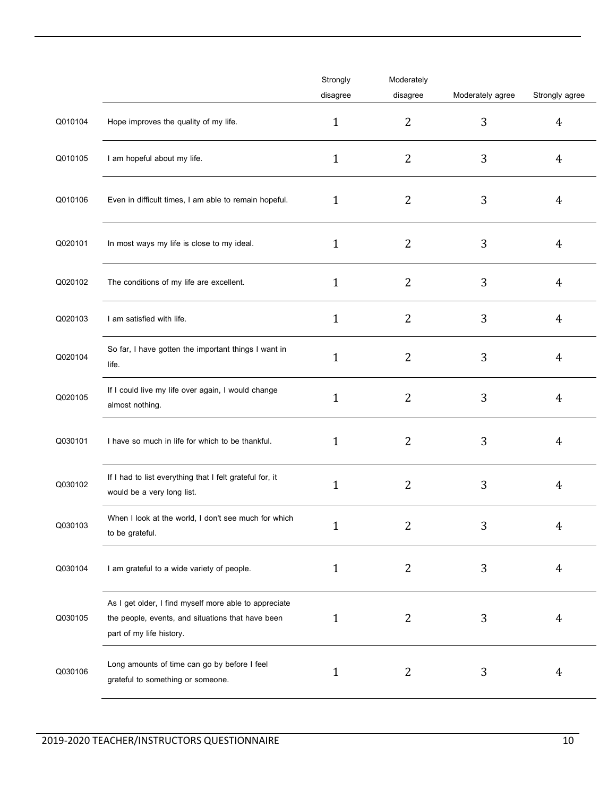|         |                                                                                                                                        | Strongly<br>disagree | Moderately<br>disagree | Moderately agree | Strongly agree |
|---------|----------------------------------------------------------------------------------------------------------------------------------------|----------------------|------------------------|------------------|----------------|
| Q010104 | Hope improves the quality of my life.                                                                                                  | 1                    | 2                      | 3                | $\overline{4}$ |
| Q010105 | I am hopeful about my life.                                                                                                            | 1                    | $\overline{2}$         | 3                | $\overline{4}$ |
| Q010106 | Even in difficult times, I am able to remain hopeful.                                                                                  | 1                    | 2                      | 3                | 4              |
| Q020101 | In most ways my life is close to my ideal.                                                                                             | 1                    | $\overline{2}$         | 3                | $\overline{4}$ |
| Q020102 | The conditions of my life are excellent.                                                                                               | 1                    | $\overline{2}$         | 3                | 4              |
| Q020103 | I am satisfied with life.                                                                                                              | 1                    | $\overline{2}$         | 3                | 4              |
| Q020104 | So far, I have gotten the important things I want in<br>life.                                                                          | 1                    | 2                      | 3                | 4              |
| Q020105 | If I could live my life over again, I would change<br>almost nothing.                                                                  | 1                    | $\overline{2}$         | 3                | 4              |
| Q030101 | I have so much in life for which to be thankful.                                                                                       | 1                    | 2                      | 3                | 4              |
| Q030102 | If I had to list everything that I felt grateful for, it<br>would be a very long list.                                                 | 1                    | $\overline{2}$         | 3                | $\overline{4}$ |
| Q030103 | When I look at the world, I don't see much for which<br>to be grateful.                                                                | T                    |                        | 3                | 4              |
| Q030104 | I am grateful to a wide variety of people.                                                                                             | 1                    | 2                      | 3                | 4              |
| Q030105 | As I get older, I find myself more able to appreciate<br>the people, events, and situations that have been<br>part of my life history. | 1                    | 2                      | 3                | 4              |
| Q030106 | Long amounts of time can go by before I feel<br>grateful to something or someone.                                                      | 1                    | 2                      | 3                | 4              |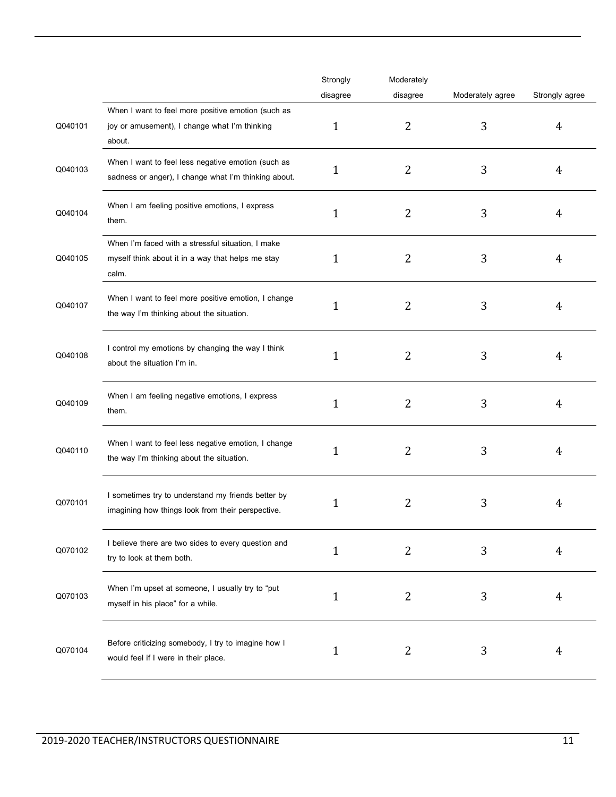|         |                                                                                                                 | Strongly     | Moderately     |                  |                |
|---------|-----------------------------------------------------------------------------------------------------------------|--------------|----------------|------------------|----------------|
|         |                                                                                                                 | disagree     | disagree       | Moderately agree | Strongly agree |
| Q040101 | When I want to feel more positive emotion (such as<br>joy or amusement), I change what I'm thinking<br>about.   | 1            | $\overline{2}$ | 3                | 4              |
| Q040103 | When I want to feel less negative emotion (such as<br>sadness or anger), I change what I'm thinking about.      | 1            | 2              | 3                | 4              |
| Q040104 | When I am feeling positive emotions, I express<br>them.                                                         | 1            | 2              | 3                | 4              |
| Q040105 | When I'm faced with a stressful situation, I make<br>myself think about it in a way that helps me stay<br>calm. | 1            | 2              | 3                | 4              |
| Q040107 | When I want to feel more positive emotion, I change<br>the way I'm thinking about the situation.                | 1            | 2              | 3                | 4              |
| Q040108 | I control my emotions by changing the way I think<br>about the situation I'm in.                                | 1            | 2              | 3                | 4              |
| Q040109 | When I am feeling negative emotions, I express<br>them.                                                         | 1            | 2              | 3                | 4              |
| Q040110 | When I want to feel less negative emotion, I change<br>the way I'm thinking about the situation.                | 1            | 2              | 3                | 4              |
| Q070101 | I sometimes try to understand my friends better by<br>imagining how things look from their perspective.         | 1            | 2              | 3                | 4              |
| Q070102 | I believe there are two sides to every question and<br>try to look at them both.                                | 1            | 2              | 3                | 4              |
| Q070103 | When I'm upset at someone, I usually try to "put<br>myself in his place" for a while.                           | 1            | $\overline{2}$ | 3                | 4              |
| Q070104 | Before criticizing somebody, I try to imagine how I<br>would feel if I were in their place.                     | $\mathbf{1}$ | 2              | 3                | 4              |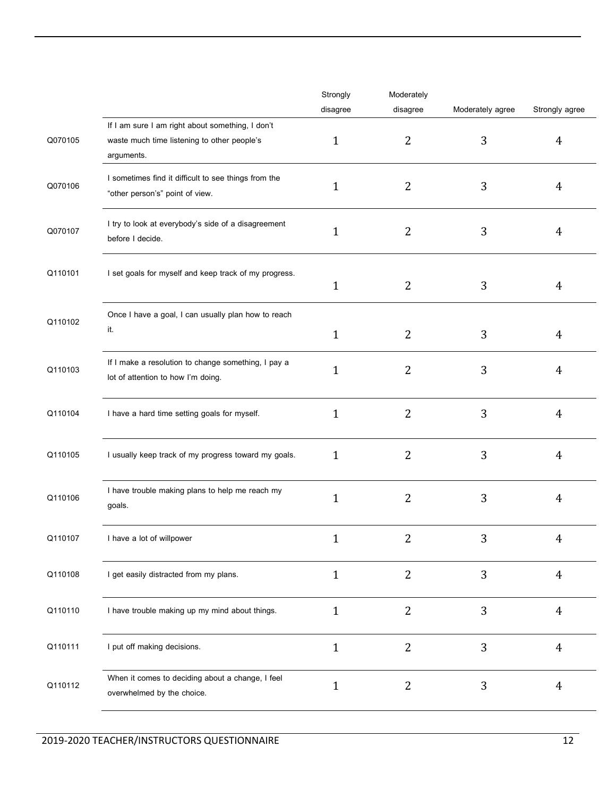|         |                                                                                           | Strongly     | Moderately     |                  |                |
|---------|-------------------------------------------------------------------------------------------|--------------|----------------|------------------|----------------|
|         |                                                                                           | disagree     | disagree       | Moderately agree | Strongly agree |
|         | If I am sure I am right about something, I don't                                          |              |                |                  |                |
| Q070105 | waste much time listening to other people's<br>arguments.                                 | $\mathbf{1}$ | $\overline{2}$ | 3                | 4              |
| Q070106 | I sometimes find it difficult to see things from the<br>"other person's" point of view.   | $\mathbf{1}$ | $\overline{2}$ | 3                | 4              |
| Q070107 | I try to look at everybody's side of a disagreement<br>before I decide.                   | $\mathbf{1}$ | 2              | 3                | 4              |
| Q110101 | I set goals for myself and keep track of my progress.                                     | $\mathbf{1}$ | 2              | 3                | 4              |
|         | Once I have a goal, I can usually plan how to reach                                       |              |                |                  |                |
| Q110102 | it.                                                                                       | $\mathbf{1}$ | 2              | 3                | 4              |
| Q110103 | If I make a resolution to change something, I pay a<br>lot of attention to how I'm doing. | $\mathbf{1}$ | $\overline{2}$ | 3                | 4              |
| Q110104 | I have a hard time setting goals for myself.                                              | $\mathbf{1}$ | $\overline{2}$ | 3                | 4              |
| Q110105 | I usually keep track of my progress toward my goals.                                      | $\mathbf{1}$ | 2              | 3                | 4              |
| Q110106 | I have trouble making plans to help me reach my<br>goals.                                 | $\mathbf{1}$ | $\overline{2}$ | 3                | 4              |
| Q110107 | I have a lot of willpower                                                                 | $\mathbf{1}$ | 2              | 3                | 4              |
| Q110108 | I get easily distracted from my plans.                                                    | $\mathbf{1}$ | $\overline{2}$ | 3                | $\overline{4}$ |
| Q110110 | I have trouble making up my mind about things.                                            | $\mathbf{1}$ | $\overline{2}$ | 3                | $\overline{4}$ |
| Q110111 | I put off making decisions.                                                               | $\mathbf{1}$ | $\overline{2}$ | 3                | $\overline{4}$ |
| Q110112 | When it comes to deciding about a change, I feel<br>overwhelmed by the choice.            | $\mathbf{1}$ | $\overline{2}$ | 3                | $\overline{4}$ |